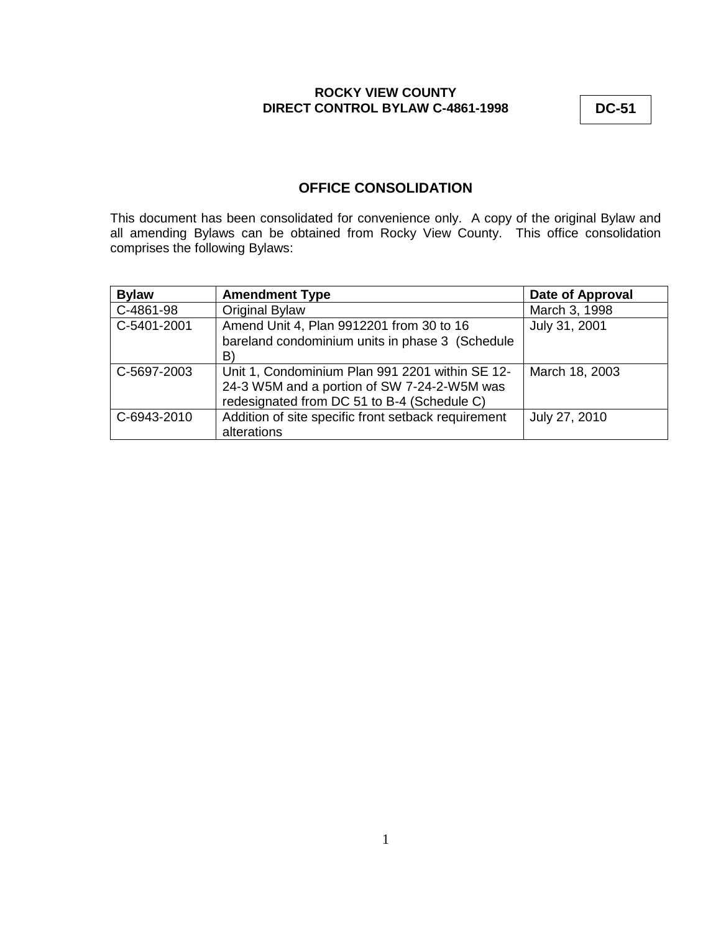**DC-51**

# **OFFICE CONSOLIDATION**

This document has been consolidated for convenience only. A copy of the original Bylaw and all amending Bylaws can be obtained from Rocky View County. This office consolidation comprises the following Bylaws:

| <b>Bylaw</b> | <b>Amendment Type</b>                               | <b>Date of Approval</b> |
|--------------|-----------------------------------------------------|-------------------------|
| C-4861-98    | Original Bylaw                                      | March 3, 1998           |
| C-5401-2001  | Amend Unit 4, Plan 9912201 from 30 to 16            | July 31, 2001           |
|              | bareland condominium units in phase 3 (Schedule     |                         |
|              | B)                                                  |                         |
| C-5697-2003  | Unit 1, Condominium Plan 991 2201 within SE 12-     | March 18, 2003          |
|              | 24-3 W5M and a portion of SW 7-24-2-W5M was         |                         |
|              | redesignated from DC 51 to B-4 (Schedule C)         |                         |
| C-6943-2010  | Addition of site specific front setback requirement | July 27, 2010           |
|              | alterations                                         |                         |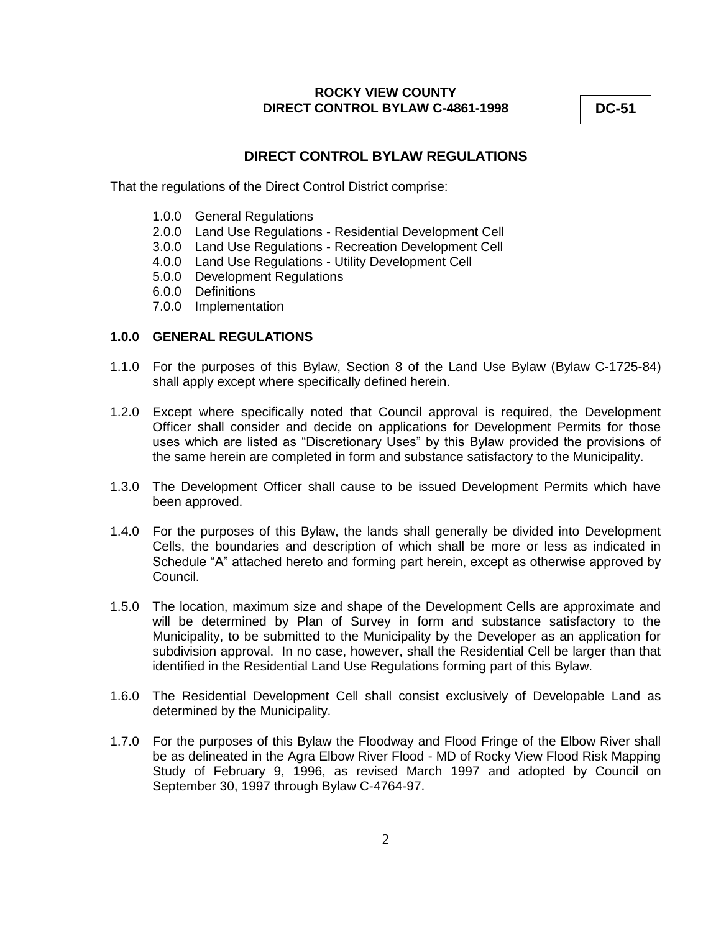**DC-51**

# **DIRECT CONTROL BYLAW REGULATIONS**

That the regulations of the Direct Control District comprise:

- 1.0.0 General Regulations
- 2.0.0 Land Use Regulations Residential Development Cell
- 3.0.0 Land Use Regulations Recreation Development Cell
- 4.0.0 Land Use Regulations Utility Development Cell
- 5.0.0 Development Regulations
- 6.0.0 Definitions
- 7.0.0 Implementation

## **1.0.0 GENERAL REGULATIONS**

- 1.1.0 For the purposes of this Bylaw, Section 8 of the Land Use Bylaw (Bylaw C-1725-84) shall apply except where specifically defined herein.
- 1.2.0 Except where specifically noted that Council approval is required, the Development Officer shall consider and decide on applications for Development Permits for those uses which are listed as "Discretionary Uses" by this Bylaw provided the provisions of the same herein are completed in form and substance satisfactory to the Municipality.
- 1.3.0 The Development Officer shall cause to be issued Development Permits which have been approved.
- 1.4.0 For the purposes of this Bylaw, the lands shall generally be divided into Development Cells, the boundaries and description of which shall be more or less as indicated in Schedule "A" attached hereto and forming part herein, except as otherwise approved by Council.
- 1.5.0 The location, maximum size and shape of the Development Cells are approximate and will be determined by Plan of Survey in form and substance satisfactory to the Municipality, to be submitted to the Municipality by the Developer as an application for subdivision approval. In no case, however, shall the Residential Cell be larger than that identified in the Residential Land Use Regulations forming part of this Bylaw.
- 1.6.0 The Residential Development Cell shall consist exclusively of Developable Land as determined by the Municipality.
- 1.7.0 For the purposes of this Bylaw the Floodway and Flood Fringe of the Elbow River shall be as delineated in the Agra Elbow River Flood - MD of Rocky View Flood Risk Mapping Study of February 9, 1996, as revised March 1997 and adopted by Council on September 30, 1997 through Bylaw C-4764-97.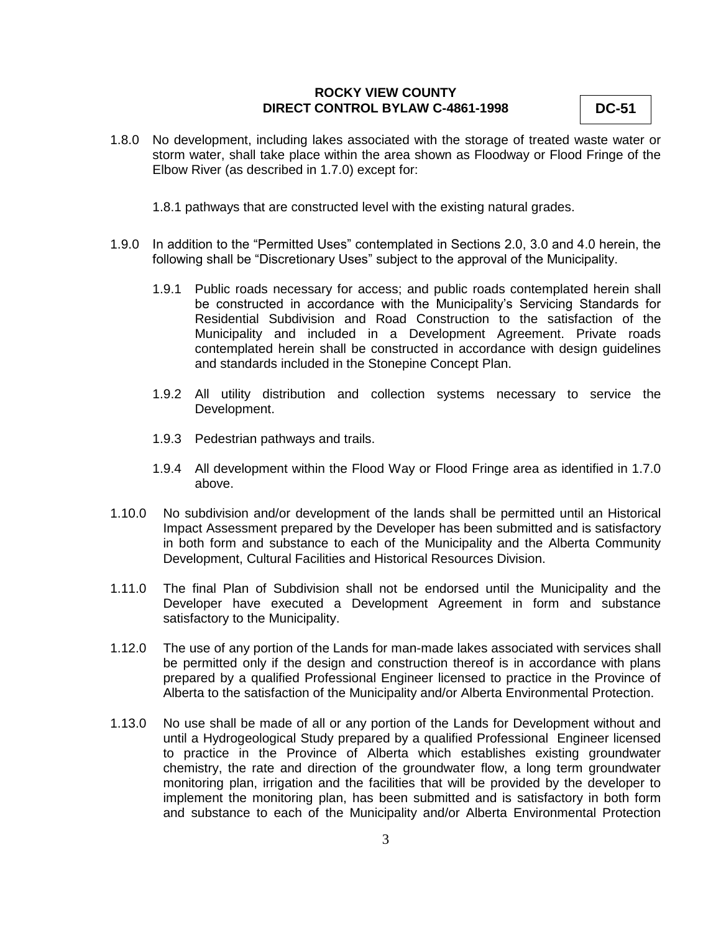- **DC-51**
- 1.8.0 No development, including lakes associated with the storage of treated waste water or storm water, shall take place within the area shown as Floodway or Flood Fringe of the Elbow River (as described in 1.7.0) except for:
	- 1.8.1 pathways that are constructed level with the existing natural grades.
- 1.9.0 In addition to the "Permitted Uses" contemplated in Sections 2.0, 3.0 and 4.0 herein, the following shall be "Discretionary Uses" subject to the approval of the Municipality.
	- 1.9.1 Public roads necessary for access; and public roads contemplated herein shall be constructed in accordance with the Municipality's Servicing Standards for Residential Subdivision and Road Construction to the satisfaction of the Municipality and included in a Development Agreement. Private roads contemplated herein shall be constructed in accordance with design guidelines and standards included in the Stonepine Concept Plan.
	- 1.9.2 All utility distribution and collection systems necessary to service the Development.
	- 1.9.3 Pedestrian pathways and trails.
	- 1.9.4 All development within the Flood Way or Flood Fringe area as identified in 1.7.0 above.
- 1.10.0 No subdivision and/or development of the lands shall be permitted until an Historical Impact Assessment prepared by the Developer has been submitted and is satisfactory in both form and substance to each of the Municipality and the Alberta Community Development, Cultural Facilities and Historical Resources Division.
- 1.11.0 The final Plan of Subdivision shall not be endorsed until the Municipality and the Developer have executed a Development Agreement in form and substance satisfactory to the Municipality.
- 1.12.0 The use of any portion of the Lands for man-made lakes associated with services shall be permitted only if the design and construction thereof is in accordance with plans prepared by a qualified Professional Engineer licensed to practice in the Province of Alberta to the satisfaction of the Municipality and/or Alberta Environmental Protection.
- 1.13.0 No use shall be made of all or any portion of the Lands for Development without and until a Hydrogeological Study prepared by a qualified Professional Engineer licensed to practice in the Province of Alberta which establishes existing groundwater chemistry, the rate and direction of the groundwater flow, a long term groundwater monitoring plan, irrigation and the facilities that will be provided by the developer to implement the monitoring plan, has been submitted and is satisfactory in both form and substance to each of the Municipality and/or Alberta Environmental Protection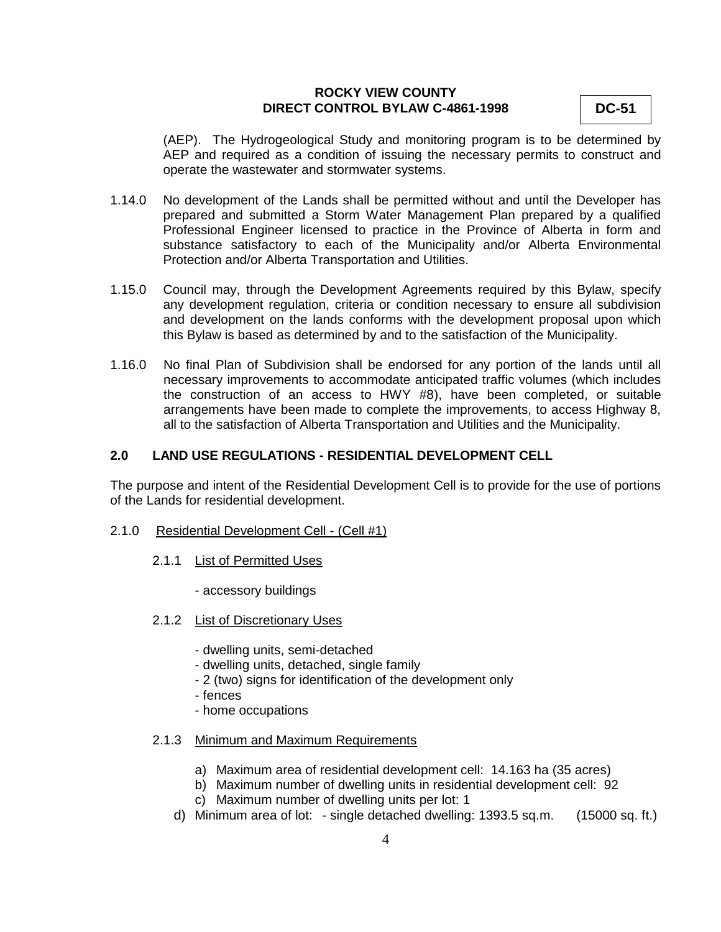**DC-51**

(AEP). The Hydrogeological Study and monitoring program is to be determined by AEP and required as a condition of issuing the necessary permits to construct and operate the wastewater and stormwater systems.

- 1.14.0 No development of the Lands shall be permitted without and until the Developer has prepared and submitted a Storm Water Management Plan prepared by a qualified Professional Engineer licensed to practice in the Province of Alberta in form and substance satisfactory to each of the Municipality and/or Alberta Environmental Protection and/or Alberta Transportation and Utilities.
- 1.15.0 Council may, through the Development Agreements required by this Bylaw, specify any development regulation, criteria or condition necessary to ensure all subdivision and development on the lands conforms with the development proposal upon which this Bylaw is based as determined by and to the satisfaction of the Municipality.
- 1.16.0 No final Plan of Subdivision shall be endorsed for any portion of the lands until all necessary improvements to accommodate anticipated traffic volumes (which includes the construction of an access to HWY #8), have been completed, or suitable arrangements have been made to complete the improvements, to access Highway 8, all to the satisfaction of Alberta Transportation and Utilities and the Municipality.

## **2.0 LAND USE REGULATIONS - RESIDENTIAL DEVELOPMENT CELL**

The purpose and intent of the Residential Development Cell is to provide for the use of portions of the Lands for residential development.

- 2.1.0 Residential Development Cell (Cell #1)
	- 2.1.1 List of Permitted Uses
		- accessory buildings
	- 2.1.2 List of Discretionary Uses
		- dwelling units, semi-detached
		- dwelling units, detached, single family
		- 2 (two) signs for identification of the development only
		- fences
		- home occupations
	- 2.1.3 Minimum and Maximum Requirements
		- a) Maximum area of residential development cell: 14.163 ha (35 acres)
		- b) Maximum number of dwelling units in residential development cell: 92
		- c) Maximum number of dwelling units per lot: 1
		- d) Minimum area of lot: single detached dwelling: 1393.5 sq.m. (15000 sq. ft.)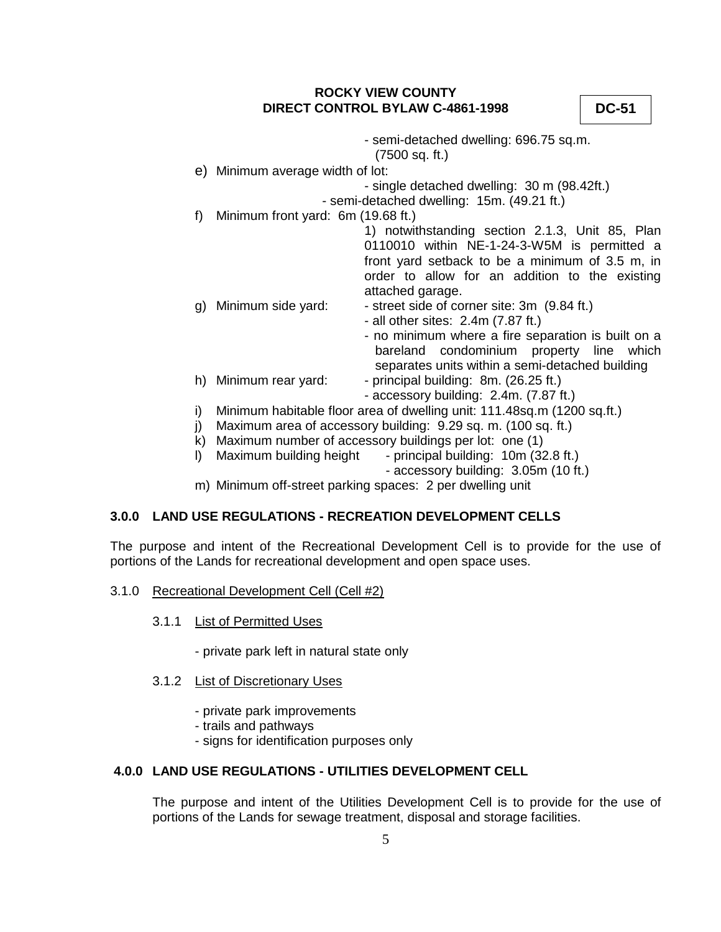**DC-51**

- semi-detached dwelling: 696.75 sq.m. (7500 sq. ft.) e) Minimum average width of lot: - single detached dwelling: 30 m (98.42ft.) - semi-detached dwelling: 15m. (49.21 ft.) f) Minimum front yard: 6m (19.68 ft.) 1) notwithstanding section 2.1.3, Unit 85, Plan 0110010 within NE-1-24-3-W5M is permitted a front yard setback to be a minimum of 3.5 m, in order to allow for an addition to the existing attached garage. g) Minimum side yard:  $\cdot$  street side of corner site: 3m (9.84 ft.) - all other sites: 2.4m (7.87 ft.) - no minimum where a fire separation is built on a bareland condominium property line which separates units within a semi-detached building h) Minimum rear yard: - principal building: 8m. (26.25 ft.) - accessory building: 2.4m. (7.87 ft.) i) Minimum habitable floor area of dwelling unit: 111.48sq.m (1200 sq.ft.) j) Maximum area of accessory building: 9.29 sq. m. (100 sq. ft.) k) Maximum number of accessory buildings per lot: one (1) l) Maximum building height - principal building: 10m (32.8 ft.) - accessory building: 3.05m (10 ft.)
- m) Minimum off-street parking spaces: 2 per dwelling unit

### **3.0.0 LAND USE REGULATIONS - RECREATION DEVELOPMENT CELLS**

The purpose and intent of the Recreational Development Cell is to provide for the use of portions of the Lands for recreational development and open space uses.

#### 3.1.0 Recreational Development Cell (Cell #2)

3.1.1 List of Permitted Uses

- private park left in natural state only

- 3.1.2 List of Discretionary Uses
	- private park improvements
	- trails and pathways
	- signs for identification purposes only

# **4.0.0 LAND USE REGULATIONS - UTILITIES DEVELOPMENT CELL**

The purpose and intent of the Utilities Development Cell is to provide for the use of portions of the Lands for sewage treatment, disposal and storage facilities.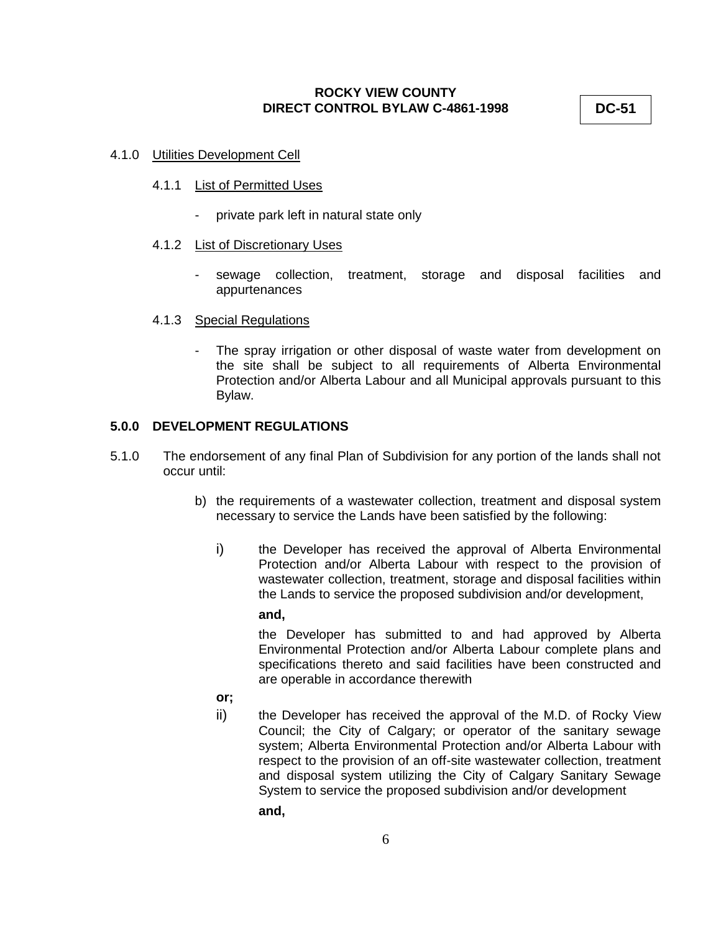**DC-51**

#### 4.1.0 Utilities Development Cell

#### 4.1.1 List of Permitted Uses

- private park left in natural state only

#### 4.1.2 List of Discretionary Uses

- sewage collection, treatment, storage and disposal facilities and appurtenances

#### 4.1.3 Special Regulations

- The spray irrigation or other disposal of waste water from development on the site shall be subject to all requirements of Alberta Environmental Protection and/or Alberta Labour and all Municipal approvals pursuant to this Bylaw.

#### **5.0.0 DEVELOPMENT REGULATIONS**

- 5.1.0 The endorsement of any final Plan of Subdivision for any portion of the lands shall not occur until:
	- b) the requirements of a wastewater collection, treatment and disposal system necessary to service the Lands have been satisfied by the following:
		- i) the Developer has received the approval of Alberta Environmental Protection and/or Alberta Labour with respect to the provision of wastewater collection, treatment, storage and disposal facilities within the Lands to service the proposed subdivision and/or development,

#### **and,**

the Developer has submitted to and had approved by Alberta Environmental Protection and/or Alberta Labour complete plans and specifications thereto and said facilities have been constructed and are operable in accordance therewith

- **or;**
- ii) the Developer has received the approval of the M.D. of Rocky View Council; the City of Calgary; or operator of the sanitary sewage system; Alberta Environmental Protection and/or Alberta Labour with respect to the provision of an off-site wastewater collection, treatment and disposal system utilizing the City of Calgary Sanitary Sewage System to service the proposed subdivision and/or development
	- **and,**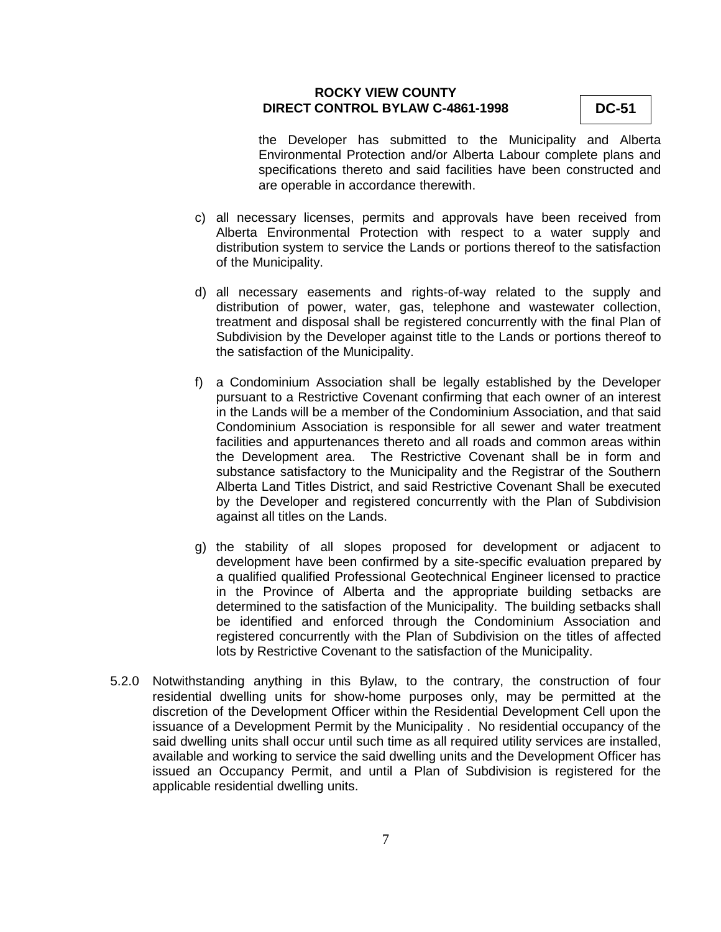**DC-51**

the Developer has submitted to the Municipality and Alberta Environmental Protection and/or Alberta Labour complete plans and specifications thereto and said facilities have been constructed and are operable in accordance therewith.

- c) all necessary licenses, permits and approvals have been received from Alberta Environmental Protection with respect to a water supply and distribution system to service the Lands or portions thereof to the satisfaction of the Municipality.
- d) all necessary easements and rights-of-way related to the supply and distribution of power, water, gas, telephone and wastewater collection, treatment and disposal shall be registered concurrently with the final Plan of Subdivision by the Developer against title to the Lands or portions thereof to the satisfaction of the Municipality.
- f) a Condominium Association shall be legally established by the Developer pursuant to a Restrictive Covenant confirming that each owner of an interest in the Lands will be a member of the Condominium Association, and that said Condominium Association is responsible for all sewer and water treatment facilities and appurtenances thereto and all roads and common areas within the Development area. The Restrictive Covenant shall be in form and substance satisfactory to the Municipality and the Registrar of the Southern Alberta Land Titles District, and said Restrictive Covenant Shall be executed by the Developer and registered concurrently with the Plan of Subdivision against all titles on the Lands.
- g) the stability of all slopes proposed for development or adjacent to development have been confirmed by a site-specific evaluation prepared by a qualified qualified Professional Geotechnical Engineer licensed to practice in the Province of Alberta and the appropriate building setbacks are determined to the satisfaction of the Municipality. The building setbacks shall be identified and enforced through the Condominium Association and registered concurrently with the Plan of Subdivision on the titles of affected lots by Restrictive Covenant to the satisfaction of the Municipality.
- 5.2.0 Notwithstanding anything in this Bylaw, to the contrary, the construction of four residential dwelling units for show-home purposes only, may be permitted at the discretion of the Development Officer within the Residential Development Cell upon the issuance of a Development Permit by the Municipality . No residential occupancy of the said dwelling units shall occur until such time as all required utility services are installed, available and working to service the said dwelling units and the Development Officer has issued an Occupancy Permit, and until a Plan of Subdivision is registered for the applicable residential dwelling units.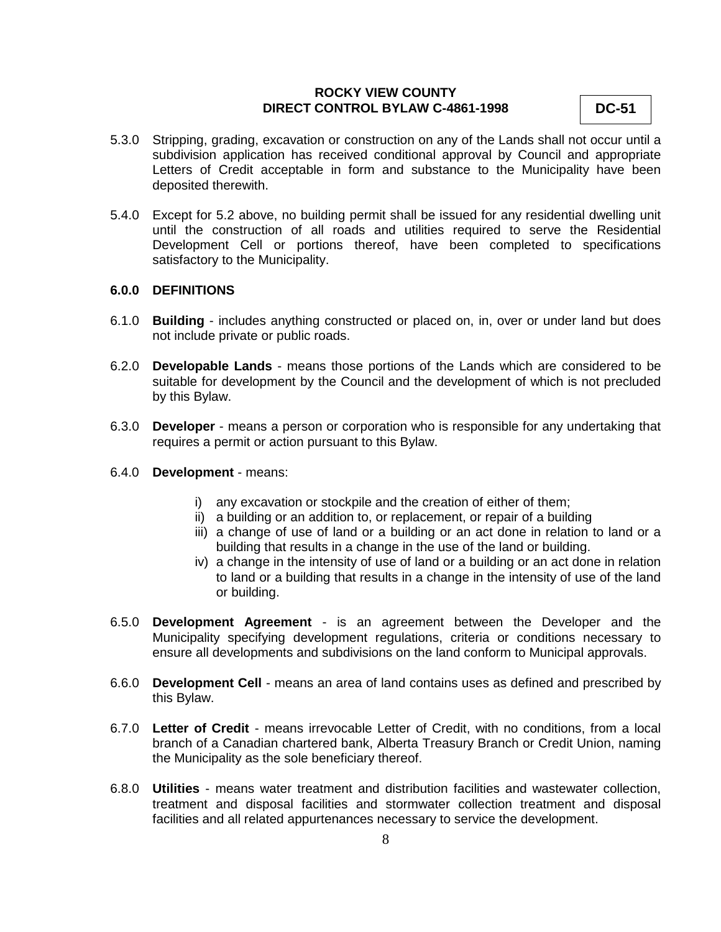**DC-51**

- 5.3.0 Stripping, grading, excavation or construction on any of the Lands shall not occur until a subdivision application has received conditional approval by Council and appropriate Letters of Credit acceptable in form and substance to the Municipality have been deposited therewith.
- 5.4.0 Except for 5.2 above, no building permit shall be issued for any residential dwelling unit until the construction of all roads and utilities required to serve the Residential Development Cell or portions thereof, have been completed to specifications satisfactory to the Municipality.

#### **6.0.0 DEFINITIONS**

- 6.1.0 **Building** includes anything constructed or placed on, in, over or under land but does not include private or public roads.
- 6.2.0 **Developable Lands** means those portions of the Lands which are considered to be suitable for development by the Council and the development of which is not precluded by this Bylaw.
- 6.3.0 **Developer** means a person or corporation who is responsible for any undertaking that requires a permit or action pursuant to this Bylaw.
- 6.4.0 **Development**  means:
	- i) any excavation or stockpile and the creation of either of them;
	- ii) a building or an addition to, or replacement, or repair of a building
	- iii) a change of use of land or a building or an act done in relation to land or a building that results in a change in the use of the land or building.
	- iv) a change in the intensity of use of land or a building or an act done in relation to land or a building that results in a change in the intensity of use of the land or building.
- 6.5.0 **Development Agreement** is an agreement between the Developer and the Municipality specifying development regulations, criteria or conditions necessary to ensure all developments and subdivisions on the land conform to Municipal approvals.
- 6.6.0 **Development Cell** means an area of land contains uses as defined and prescribed by this Bylaw.
- 6.7.0 **Letter of Credit** means irrevocable Letter of Credit, with no conditions, from a local branch of a Canadian chartered bank, Alberta Treasury Branch or Credit Union, naming the Municipality as the sole beneficiary thereof.
- 6.8.0 **Utilities** means water treatment and distribution facilities and wastewater collection, treatment and disposal facilities and stormwater collection treatment and disposal facilities and all related appurtenances necessary to service the development.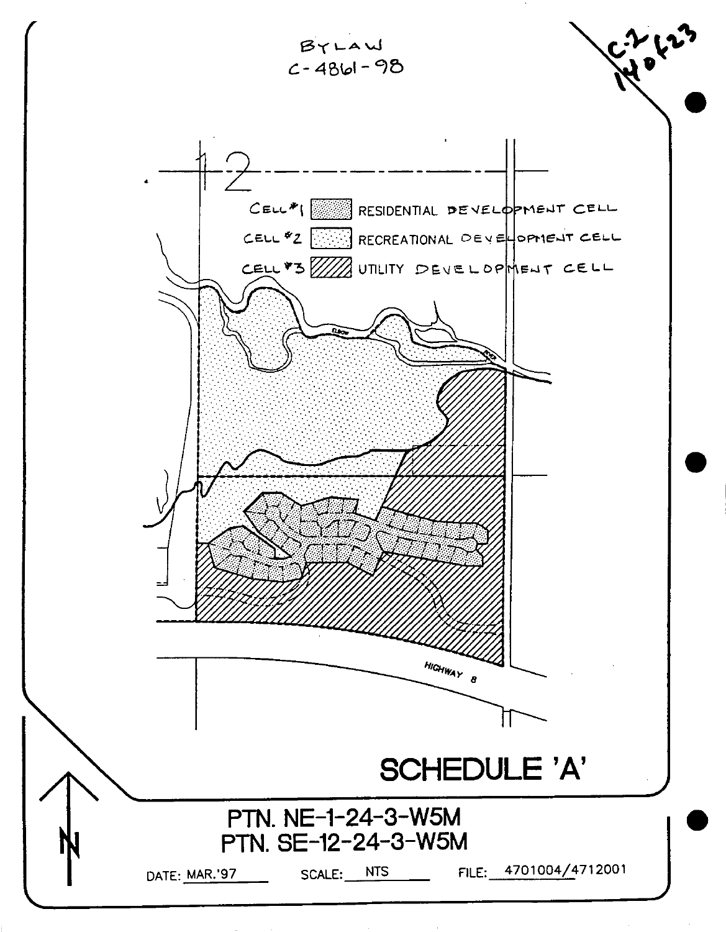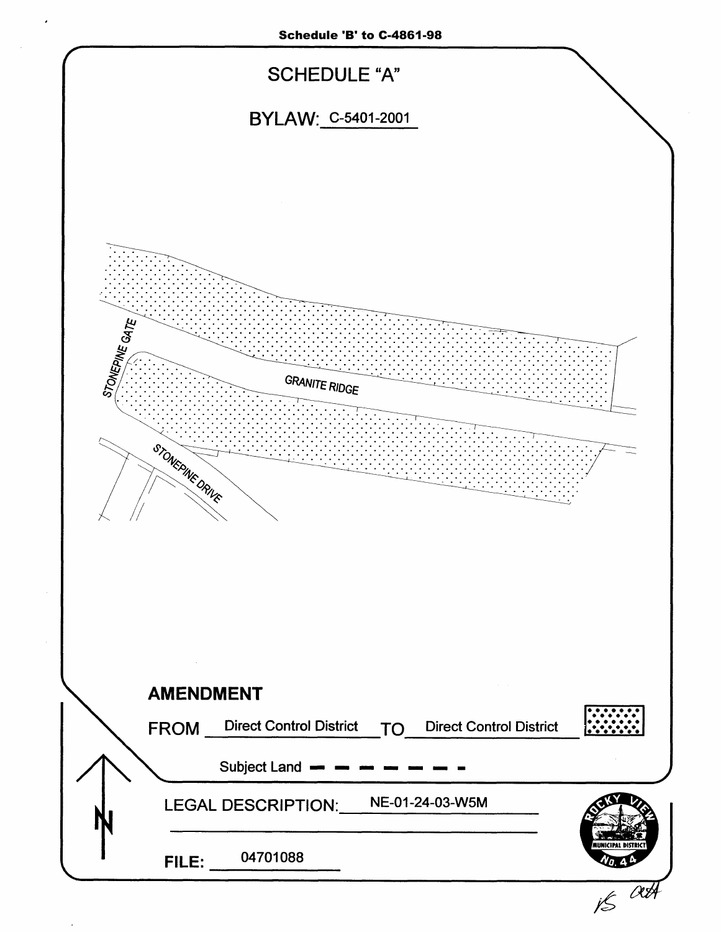